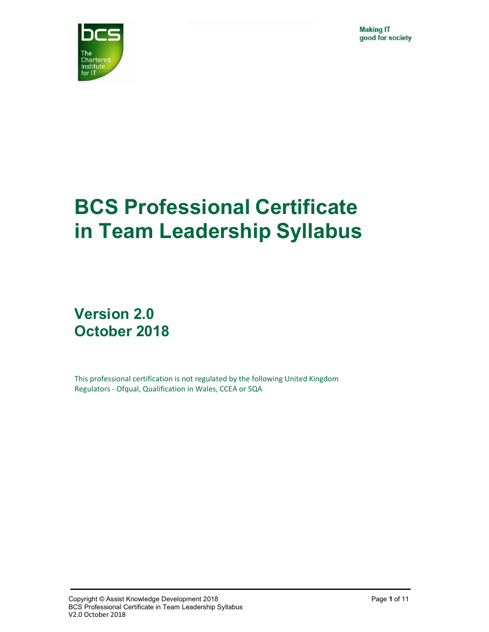**Making IT** good for society



# BCS Professional Certificate in Team Leadership Syllabus

## Version 2.0 October 2018

This professional certification is not regulated by the following United Kingdom Regulators - Ofqual, Qualification in Wales, CCEA or SQA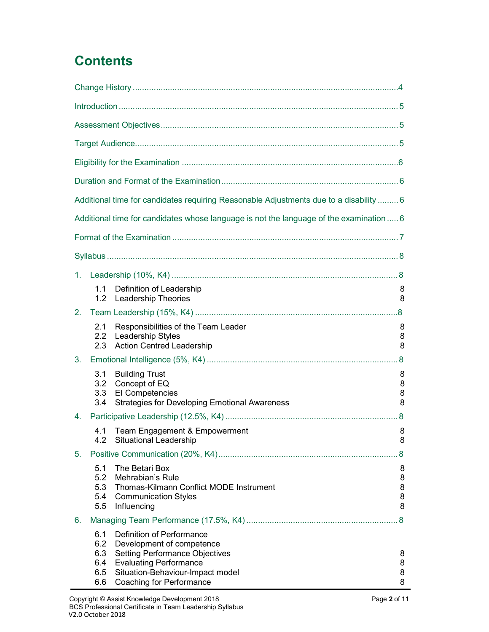# **Contents**

|    |                                        | Additional time for candidates requiring Reasonable Adjustments due to a disability  6                                                                                                           |                       |
|----|----------------------------------------|--------------------------------------------------------------------------------------------------------------------------------------------------------------------------------------------------|-----------------------|
|    |                                        | Additional time for candidates whose language is not the language of the examination  6                                                                                                          |                       |
|    |                                        |                                                                                                                                                                                                  |                       |
|    |                                        |                                                                                                                                                                                                  |                       |
| 1. |                                        |                                                                                                                                                                                                  |                       |
|    | 1.1<br>1.2                             | Definition of Leadership<br><b>Leadership Theories</b>                                                                                                                                           | 8<br>8                |
| 2. |                                        |                                                                                                                                                                                                  |                       |
|    | 2.1<br>2.2<br>2.3                      | Responsibilities of the Team Leader<br>Leadership Styles<br><b>Action Centred Leadership</b>                                                                                                     | 8<br>8<br>8           |
| 3. |                                        |                                                                                                                                                                                                  |                       |
|    | 3.1<br>3.2<br>3.3<br>3.4               | <b>Building Trust</b><br>Concept of EQ<br>El Competencies<br><b>Strategies for Developing Emotional Awareness</b>                                                                                | 8<br>8<br>8<br>8      |
| 4. |                                        |                                                                                                                                                                                                  |                       |
|    | 4.1                                    | Team Engagement & Empowerment<br>Situational Leadership                                                                                                                                          | 8<br>୪                |
| 5. |                                        |                                                                                                                                                                                                  | 8                     |
|    | 5.1<br>5.2<br>5.5                      | The Betari Box<br>Mehrabian's Rule<br>5.3 Thomas-Kilmann Conflict MODE Instrument<br>5.4 Communication Styles<br>Influencing                                                                     | 8<br>8<br>8<br>8<br>8 |
| 6. |                                        |                                                                                                                                                                                                  |                       |
|    | 6.1<br>6.2<br>6.3<br>6.4<br>6.5<br>6.6 | Definition of Performance<br>Development of competence<br><b>Setting Performance Objectives</b><br><b>Evaluating Performance</b><br>Situation-Behaviour-Impact model<br>Coaching for Performance | 8<br>8<br>8<br>8      |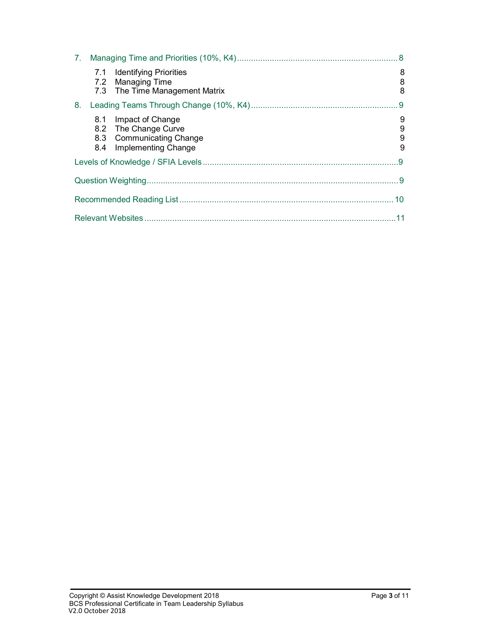|    |            | 7.1 Identifying Priorities<br>7.2 Managing Time<br>7.3 The Time Management Matrix           | 8<br>8<br>8      |
|----|------------|---------------------------------------------------------------------------------------------|------------------|
| 8. |            |                                                                                             |                  |
|    | 8.1<br>8.4 | Impact of Change<br>8.2 The Change Curve<br>8.3 Communicating Change<br>Implementing Change | 9<br>9<br>9<br>9 |
|    |            |                                                                                             | 9                |
|    |            |                                                                                             |                  |
|    |            |                                                                                             |                  |
|    |            |                                                                                             |                  |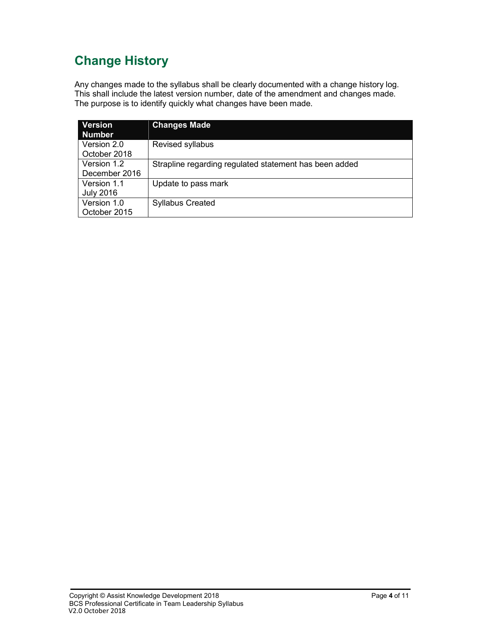### Change History

Any changes made to the syllabus shall be clearly documented with a change history log. This shall include the latest version number, date of the amendment and changes made. The purpose is to identify quickly what changes have been made.

| <b>Version</b><br><b>Number</b> | <b>Changes Made</b>                                    |
|---------------------------------|--------------------------------------------------------|
| Version 2.0                     | Revised syllabus                                       |
| October 2018                    |                                                        |
| Version 1.2                     | Strapline regarding regulated statement has been added |
| December 2016                   |                                                        |
| Version 1.1                     | Update to pass mark                                    |
| <b>July 2016</b>                |                                                        |
| Version 1.0                     | <b>Syllabus Created</b>                                |
| October 2015                    |                                                        |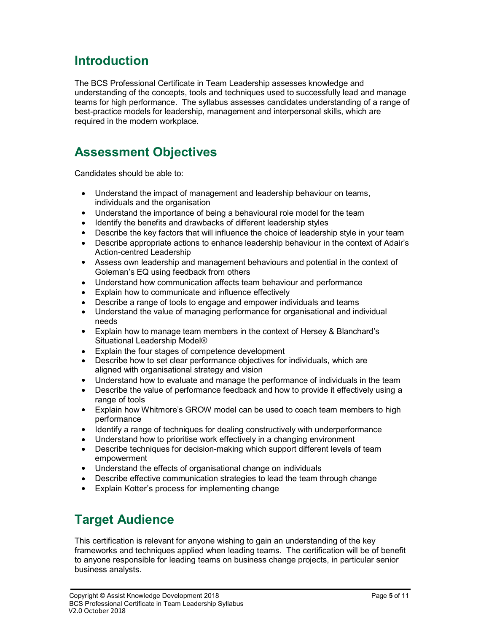### Introduction

The BCS Professional Certificate in Team Leadership assesses knowledge and understanding of the concepts, tools and techniques used to successfully lead and manage teams for high performance. The syllabus assesses candidates understanding of a range of best-practice models for leadership, management and interpersonal skills, which are required in the modern workplace.

### Assessment Objectives

Candidates should be able to:

- Understand the impact of management and leadership behaviour on teams, individuals and the organisation
- Understand the importance of being a behavioural role model for the team
- Identify the benefits and drawbacks of different leadership styles
- Describe the key factors that will influence the choice of leadership style in your team
- Describe appropriate actions to enhance leadership behaviour in the context of Adair's Action-centred Leadership
- Assess own leadership and management behaviours and potential in the context of Goleman's EQ using feedback from others
- Understand how communication affects team behaviour and performance
- Explain how to communicate and influence effectively
- Describe a range of tools to engage and empower individuals and teams
- Understand the value of managing performance for organisational and individual needs
- Explain how to manage team members in the context of Hersey & Blanchard's Situational Leadership Model®
- Explain the four stages of competence development
- Describe how to set clear performance objectives for individuals, which are aligned with organisational strategy and vision
- Understand how to evaluate and manage the performance of individuals in the team
- Describe the value of performance feedback and how to provide it effectively using a range of tools
- Explain how Whitmore's GROW model can be used to coach team members to high performance
- Identify a range of techniques for dealing constructively with underperformance
- Understand how to prioritise work effectively in a changing environment
- Describe techniques for decision-making which support different levels of team empowerment
- Understand the effects of organisational change on individuals
- Describe effective communication strategies to lead the team through change
- Explain Kotter's process for implementing change

### Target Audience

This certification is relevant for anyone wishing to gain an understanding of the key frameworks and techniques applied when leading teams. The certification will be of benefit to anyone responsible for leading teams on business change projects, in particular senior business analysts.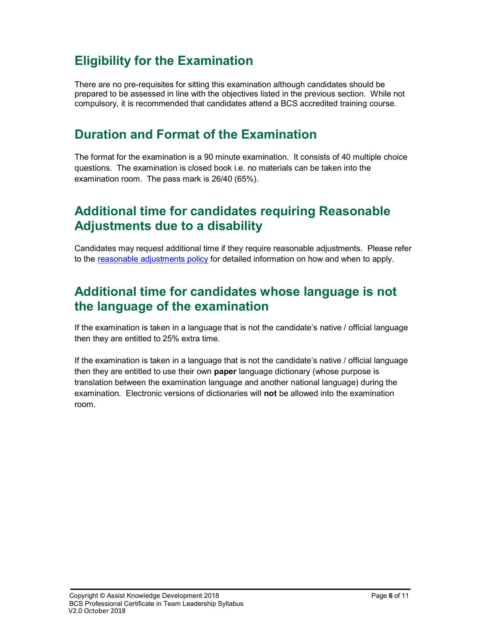### Eligibility for the Examination

There are no pre-requisites for sitting this examination although candidates should be prepared to be assessed in line with the objectives listed in the previous section. While not compulsory, it is recommended that candidates attend a BCS accredited training course.

### Duration and Format of the Examination

The format for the examination is a 90 minute examination. It consists of 40 multiple choice questions. The examination is closed book i.e. no materials can be taken into the examination room. The pass mark is 26/40 (65%).

### Additional time for candidates requiring Reasonable Adjustments due to a disability

Candidates may request additional time if they require reasonable adjustments. Please refer to the reasonable adjustments policy for detailed information on how and when to apply.

### Additional time for candidates whose language is not the language of the examination

If the examination is taken in a language that is not the candidate's native / official language then they are entitled to 25% extra time.

If the examination is taken in a language that is not the candidate's native / official language then they are entitled to use their own **paper** language dictionary (whose purpose is translation between the examination language and another national language) during the examination. Electronic versions of dictionaries will not be allowed into the examination room.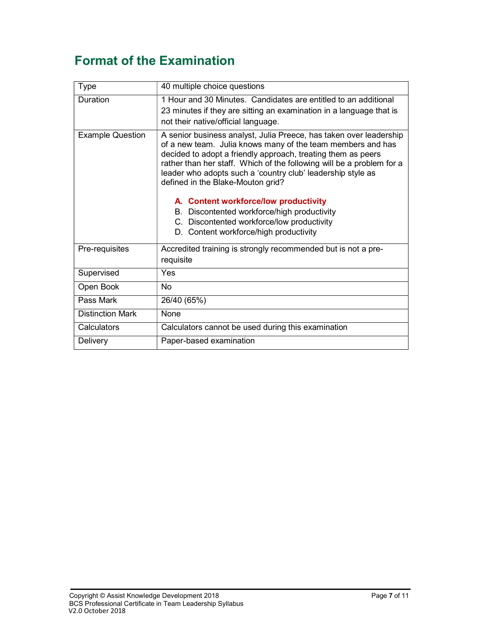### Format of the Examination

| <b>Type</b>             | 40 multiple choice questions                                                                                                                                                                                                                                                                                                                                                                                                                                                                                                                                   |
|-------------------------|----------------------------------------------------------------------------------------------------------------------------------------------------------------------------------------------------------------------------------------------------------------------------------------------------------------------------------------------------------------------------------------------------------------------------------------------------------------------------------------------------------------------------------------------------------------|
| Duration                | 1 Hour and 30 Minutes. Candidates are entitled to an additional<br>23 minutes if they are sitting an examination in a language that is<br>not their native/official language.                                                                                                                                                                                                                                                                                                                                                                                  |
| <b>Example Question</b> | A senior business analyst, Julia Preece, has taken over leadership<br>of a new team. Julia knows many of the team members and has<br>decided to adopt a friendly approach, treating them as peers<br>rather than her staff. Which of the following will be a problem for a<br>leader who adopts such a 'country club' leadership style as<br>defined in the Blake-Mouton grid?<br>A. Content workforce/low productivity<br>B. Discontented workforce/high productivity<br>C. Discontented workforce/low productivity<br>D. Content workforce/high productivity |
| Pre-requisites          | Accredited training is strongly recommended but is not a pre-<br>requisite                                                                                                                                                                                                                                                                                                                                                                                                                                                                                     |
| Supervised              | Yes                                                                                                                                                                                                                                                                                                                                                                                                                                                                                                                                                            |
| Open Book               | <b>No</b>                                                                                                                                                                                                                                                                                                                                                                                                                                                                                                                                                      |
| Pass Mark               | 26/40 (65%)                                                                                                                                                                                                                                                                                                                                                                                                                                                                                                                                                    |
| <b>Distinction Mark</b> | None                                                                                                                                                                                                                                                                                                                                                                                                                                                                                                                                                           |
| Calculators             | Calculators cannot be used during this examination                                                                                                                                                                                                                                                                                                                                                                                                                                                                                                             |
| Delivery                | Paper-based examination                                                                                                                                                                                                                                                                                                                                                                                                                                                                                                                                        |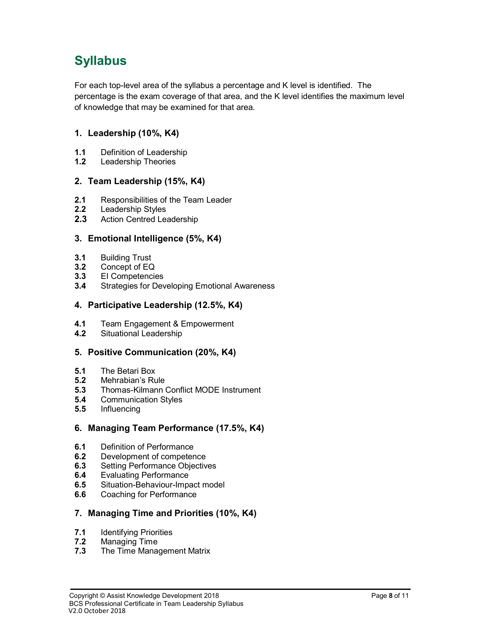### Syllabus

For each top-level area of the syllabus a percentage and K level is identified. The percentage is the exam coverage of that area, and the K level identifies the maximum level of knowledge that may be examined for that area.

#### 1. Leadership (10%, K4)

- 1.1 Definition of Leadership
- 1.2 Leadership Theories

#### 2. Team Leadership (15%, K4)

- 2.1 Responsibilities of the Team Leader
- 2.2 Leadership Styles
- 2.3 Action Centred Leadership

#### 3. Emotional Intelligence (5%, K4)

- 3.1 Building Trust
- 3.2 Concept of EQ
- 3.3 EI Competencies
- 3.4 Strategies for Developing Emotional Awareness

#### 4. Participative Leadership (12.5%, K4)

- 4.1 Team Engagement & Empowerment
- 4.2 Situational Leadership

#### 5. Positive Communication (20%, K4)

- 5.1 The Betari Box
- 5.2 Mehrabian's Rule
- 5.3 Thomas-Kilmann Conflict MODE Instrument<br>5.4 Communication Styles
- 5.4 Communication Styles
- 5.5 Influencing

#### 6. Managing Team Performance (17.5%, K4)

- 6.1 Definition of Performance
- 6.2 Development of competence
- 6.3 Setting Performance Objectives
- 6.4 Evaluating Performance
- 6.5 Situation-Behaviour-Impact model
- 6.6 Coaching for Performance

#### 7. Managing Time and Priorities (10%, K4)

- 7.1 **Identifying Priorities**
- 7.2 Managing Time
- 7.3 The Time Management Matrix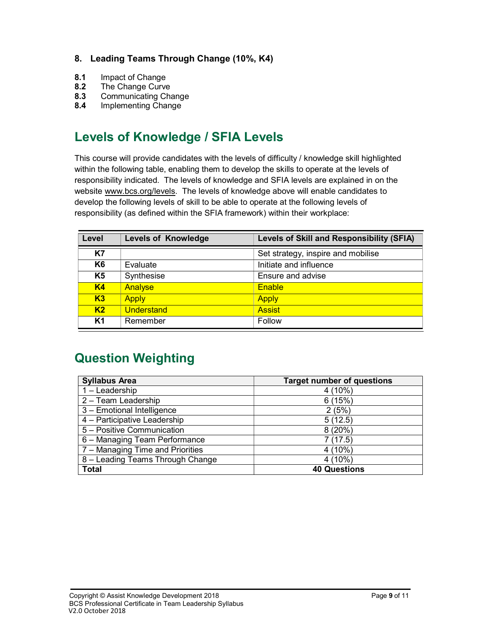#### 8. Leading Teams Through Change (10%, K4)

- 8.1 Impact of Change
- 8.2 The Change Curve
- 8.3 Communicating Change
- 8.4 Implementing Change

### Levels of Knowledge / SFIA Levels

This course will provide candidates with the levels of difficulty / knowledge skill highlighted within the following table, enabling them to develop the skills to operate at the levels of responsibility indicated. The levels of knowledge and SFIA levels are explained in on the website www.bcs.org/levels. The levels of knowledge above will enable candidates to develop the following levels of skill to be able to operate at the following levels of responsibility (as defined within the SFIA framework) within their workplace:

| Level          | <b>Levels of Knowledge</b> | <b>Levels of Skill and Responsibility (SFIA)</b> |
|----------------|----------------------------|--------------------------------------------------|
| K7             |                            | Set strategy, inspire and mobilise               |
| K <sub>6</sub> | Evaluate                   | Initiate and influence                           |
| K <sub>5</sub> | Synthesise                 | Ensure and advise                                |
| <b>K4</b>      | Analyse                    | Enable                                           |
| K3             | <b>Apply</b>               | <b>Apply</b>                                     |
| K <sub>2</sub> | Understand                 | <b>Assist</b>                                    |
| K1             | Remember                   | Follow                                           |

### Question Weighting

| <b>Syllabus Area</b>             | <b>Target number of questions</b> |
|----------------------------------|-----------------------------------|
| 1 - Leadership                   | $4(10\%)$                         |
| 2 - Team Leadership              | 6(15%)                            |
| 3 - Emotional Intelligence       | 2(5%)                             |
| 4 - Participative Leadership     | 5(12.5)                           |
| 5 - Positive Communication       | 8(20%)                            |
| 6 - Managing Team Performance    | 7(17.5)                           |
| 7 – Managing Time and Priorities | $4(10\%)$                         |
| 8 - Leading Teams Through Change | 4(10%)                            |
| <b>Total</b>                     | <b>40 Questions</b>               |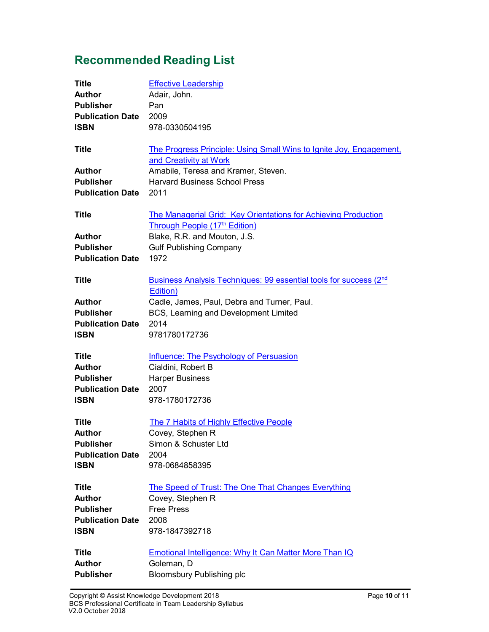### Recommended Reading List

| <b>Title</b>            | <b>Effective Leadership</b>                                                                          |
|-------------------------|------------------------------------------------------------------------------------------------------|
| <b>Author</b>           | Adair, John.                                                                                         |
| <b>Publisher</b>        | Pan                                                                                                  |
| <b>Publication Date</b> | 2009                                                                                                 |
| <b>ISBN</b>             | 978-0330504195                                                                                       |
| <b>Title</b>            | <b>The Progress Principle: Using Small Wins to Ignite Joy, Engagement,</b><br>and Creativity at Work |
| <b>Author</b>           | Amabile, Teresa and Kramer, Steven.                                                                  |
| <b>Publisher</b>        | <b>Harvard Business School Press</b>                                                                 |
| <b>Publication Date</b> | 2011                                                                                                 |
| <b>Title</b>            | The Managerial Grid: Key Orientations for Achieving Production<br>Through People (17th Edition)      |
| <b>Author</b>           | Blake, R.R. and Mouton, J.S.                                                                         |
| <b>Publisher</b>        | <b>Gulf Publishing Company</b>                                                                       |
| <b>Publication Date</b> | 1972                                                                                                 |
| <b>Title</b>            | Business Analysis Techniques: 99 essential tools for success (2 <sup>nd</sup><br>Edition)            |
| <b>Author</b>           | Cadle, James, Paul, Debra and Turner, Paul.                                                          |
| <b>Publisher</b>        | BCS, Learning and Development Limited                                                                |
| <b>Publication Date</b> | 2014                                                                                                 |
| <b>ISBN</b>             | 9781780172736                                                                                        |
| <b>Title</b>            | <b>Influence: The Psychology of Persuasion</b>                                                       |
| <b>Author</b>           | Cialdini, Robert B                                                                                   |
| <b>Publisher</b>        | <b>Harper Business</b>                                                                               |
| <b>Publication Date</b> | 2007                                                                                                 |
| <b>ISBN</b>             | 978-1780172736                                                                                       |
| <b>Title</b>            | <b>The 7 Habits of Highly Effective People</b>                                                       |
| <b>Author</b>           | Covey, Stephen R                                                                                     |
| <b>Publisher</b>        | Simon & Schuster Ltd                                                                                 |
| <b>Publication Date</b> | 2004                                                                                                 |
| <b>ISBN</b>             | 978-0684858395                                                                                       |
| <b>Title</b>            | The Speed of Trust: The One That Changes Everything                                                  |
| <b>Author</b>           | Covey, Stephen R                                                                                     |
| <b>Publisher</b>        | <b>Free Press</b>                                                                                    |
| <b>Publication Date</b> | 2008                                                                                                 |
| <b>ISBN</b>             | 978-1847392718                                                                                       |
|                         |                                                                                                      |
| <b>Author</b>           |                                                                                                      |
| <b>Publisher</b>        | <b>Bloomsbury Publishing plc</b>                                                                     |
| <b>Title</b>            | <b>Emotional Intelligence: Why It Can Matter More Than IQ</b><br>Goleman, D                          |